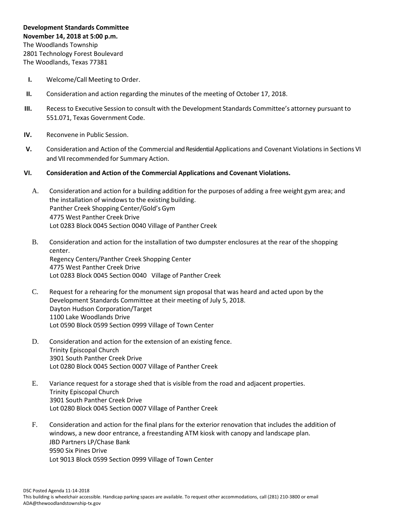- **I.** Welcome/Call Meeting to Order.
- **II.** Consideration and action regarding the minutes of the meeting of October 17, 2018.
- **III.** Recess to Executive Session to consult with the Development Standards Committee's attorney pursuant to 551.071, Texas Government Code.
- **IV.** Reconvene in Public Session.
- **V.** Consideration and Action of the Commercial and Residential Applications and Covenant Violationsin Sections VI and VII recommended for Summary Action.
- **VI. Consideration and Action of the Commercial Applications and Covenant Violations.**
	- A. Consideration and action for a building addition for the purposes of adding a free weight gym area; and the installation of windowsto the existing building. Panther Creek Shopping Center/Gold's Gym 4775 West Panther Creek Drive Lot 0283 Block 0045 Section 0040 Village of Panther Creek
	- B. Consideration and action for the installation of two dumpster enclosures at the rear of the shopping center. Regency Centers/Panther Creek Shopping Center 4775 West Panther Creek Drive Lot 0283 Block 0045 Section 0040 Village of Panther Creek
	- C. Request for a rehearing for the monument sign proposal that was heard and acted upon by the Development Standards Committee at their meeting of July 5, 2018. Dayton Hudson Corporation/Target 1100 Lake Woodlands Drive Lot 0590 Block 0599 Section 0999 Village of Town Center
	- D. Consideration and action for the extension of an existing fence. Trinity Episcopal Church 3901 South Panther Creek Drive Lot 0280 Block 0045 Section 0007 Village of Panther Creek
	- E. Variance request for a storage shed that is visible from the road and adjacent properties. Trinity Episcopal Church 3901 South Panther Creek Drive Lot 0280 Block 0045 Section 0007 Village of Panther Creek
	- F. Consideration and action for the final plans for the exterior renovation that includes the addition of windows, a new door entrance, a freestanding ATM kiosk with canopy and landscape plan. JBD Partners LP/Chase Bank 9590 Six Pines Drive Lot 9013 Block 0599 Section 0999 Village of Town Center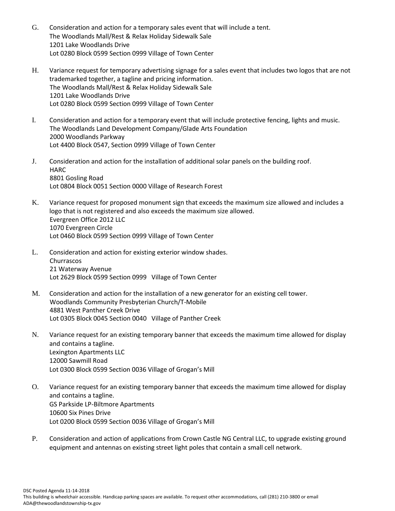- G. Consideration and action for a temporary sales event that will include a tent. The Woodlands Mall/Rest & Relax Holiday Sidewalk Sale 1201 Lake Woodlands Drive Lot 0280 Block 0599 Section 0999 Village of Town Center
- H. Variance request for temporary advertising signage for a sales event that includes two logos that are not trademarked together, a tagline and pricing information. The Woodlands Mall/Rest & Relax Holiday Sidewalk Sale 1201 Lake Woodlands Drive Lot 0280 Block 0599 Section 0999 Village of Town Center
- I. Consideration and action for a temporary event that will include protective fencing, lights and music. The Woodlands Land Development Company/Glade Arts Foundation 2000 Woodlands Parkway Lot 4400 Block 0547, Section 0999 Village of Town Center
- J. Consideration and action for the installation of additional solar panels on the building roof. **HARC** 8801 Gosling Road Lot 0804 Block 0051 Section 0000 Village of Research Forest
- K. Variance request for proposed monument sign that exceeds the maximum size allowed and includes a logo that is not registered and also exceeds the maximum size allowed. Evergreen Office 2012 LLC 1070 Evergreen Circle Lot 0460 Block 0599 Section 0999 Village of Town Center
- L. Consideration and action for existing exterior window shades. Churrascos 21 Waterway Avenue Lot 2629 Block 0599 Section 0999 Village of Town Center
- M. Consideration and action for the installation of a new generator for an existing cell tower. Woodlands Community Presbyterian Church/T-Mobile 4881 West Panther Creek Drive Lot 0305 Block 0045 Section 0040 Village of Panther Creek
- N. Variance request for an existing temporary banner that exceeds the maximum time allowed for display and contains a tagline. Lexington Apartments LLC 12000 Sawmill Road Lot 0300 Block 0599 Section 0036 Village of Grogan's Mill
- O. Variance request for an existing temporary banner that exceeds the maximum time allowed for display and contains a tagline. GS Parkside LP-Biltmore Apartments 10600 Six Pines Drive Lot 0200 Block 0599 Section 0036 Village of Grogan's Mill
- P. Consideration and action of applications from Crown Castle NG Central LLC, to upgrade existing ground equipment and antennas on existing street light poles that contain a small cell network.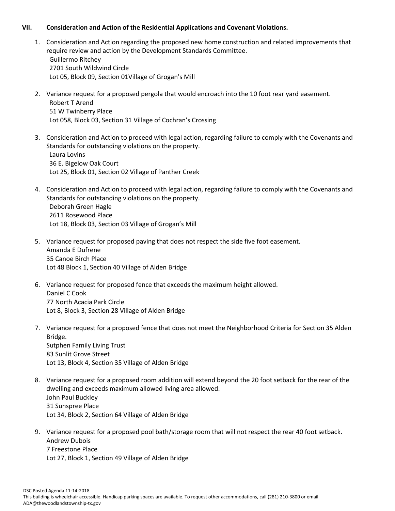## **VII. Consideration and Action of the Residential Applications and Covenant Violations.**

- 1. Consideration and Action regarding the proposed new home construction and related improvements that require review and action by the Development Standards Committee. Guillermo Ritchey 2701 South Wildwind Circle Lot 05, Block 09, Section 01Village of Grogan's Mill
- 2. Variance request for a proposed pergola that would encroach into the 10 foot rear yard easement. Robert T Arend 51 W Twinberry Place Lot 058, Block 03, Section 31 Village of Cochran's Crossing
- 3. Consideration and Action to proceed with legal action, regarding failure to comply with the Covenants and Standards for outstanding violations on the property. Laura Lovins 36 E. Bigelow Oak Court Lot 25, Block 01, Section 02 Village of Panther Creek
- 4. Consideration and Action to proceed with legal action, regarding failure to comply with the Covenants and Standards for outstanding violations on the property. Deborah Green Hagle 2611 Rosewood Place Lot 18, Block 03, Section 03 Village of Grogan's Mill
- 5. Variance request for proposed paving that does not respect the side five foot easement. Amanda E Dufrene 35 Canoe Birch Place Lot 48 Block 1, Section 40 Village of Alden Bridge
- 6. Variance request for proposed fence that exceeds the maximum height allowed. Daniel C Cook 77 North Acacia Park Circle Lot 8, Block 3, Section 28 Village of Alden Bridge
- 7. Variance request for a proposed fence that does not meet the Neighborhood Criteria for Section 35 Alden Bridge. Sutphen Family Living Trust 83 Sunlit Grove Street Lot 13, Block 4, Section 35 Village of Alden Bridge
- 8. Variance request for a proposed room addition will extend beyond the 20 foot setback for the rear of the dwelling and exceeds maximum allowed living area allowed. John Paul Buckley 31 Sunspree Place Lot 34, Block 2, Section 64 Village of Alden Bridge
- 9. Variance request for a proposed pool bath/storage room that will not respect the rear 40 foot setback. Andrew Dubois 7 Freestone Place Lot 27, Block 1, Section 49 Village of Alden Bridge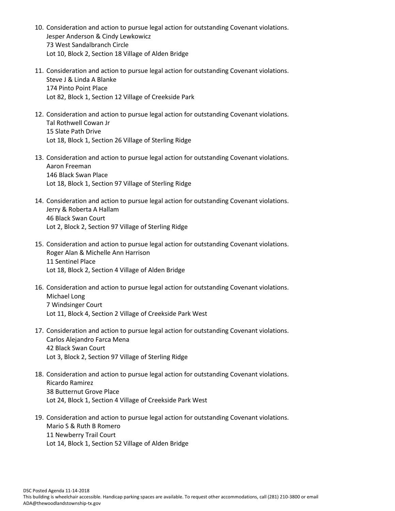- 10. Consideration and action to pursue legal action for outstanding Covenant violations. Jesper Anderson & Cindy Lewkowicz 73 West Sandalbranch Circle Lot 10, Block 2, Section 18 Village of Alden Bridge
- 11. Consideration and action to pursue legal action for outstanding Covenant violations. Steve J & Linda A Blanke 174 Pinto Point Place Lot 82, Block 1, Section 12 Village of Creekside Park
- 12. Consideration and action to pursue legal action for outstanding Covenant violations. Tal Rothwell Cowan Jr 15 Slate Path Drive Lot 18, Block 1, Section 26 Village of Sterling Ridge
- 13. Consideration and action to pursue legal action for outstanding Covenant violations. Aaron Freeman 146 Black Swan Place Lot 18, Block 1, Section 97 Village of Sterling Ridge
- 14. Consideration and action to pursue legal action for outstanding Covenant violations. Jerry & Roberta A Hallam 46 Black Swan Court Lot 2, Block 2, Section 97 Village of Sterling Ridge
- 15. Consideration and action to pursue legal action for outstanding Covenant violations. Roger Alan & Michelle Ann Harrison 11 Sentinel Place Lot 18, Block 2, Section 4 Village of Alden Bridge
- 16. Consideration and action to pursue legal action for outstanding Covenant violations. Michael Long 7 Windsinger Court Lot 11, Block 4, Section 2 Village of Creekside Park West
- 17. Consideration and action to pursue legal action for outstanding Covenant violations. Carlos Alejandro Farca Mena 42 Black Swan Court Lot 3, Block 2, Section 97 Village of Sterling Ridge
- 18. Consideration and action to pursue legal action for outstanding Covenant violations. Ricardo Ramirez 38 Butternut Grove Place Lot 24, Block 1, Section 4 Village of Creekside Park West
- 19. Consideration and action to pursue legal action for outstanding Covenant violations. Mario S & Ruth B Romero 11 Newberry Trail Court Lot 14, Block 1, Section 52 Village of Alden Bridge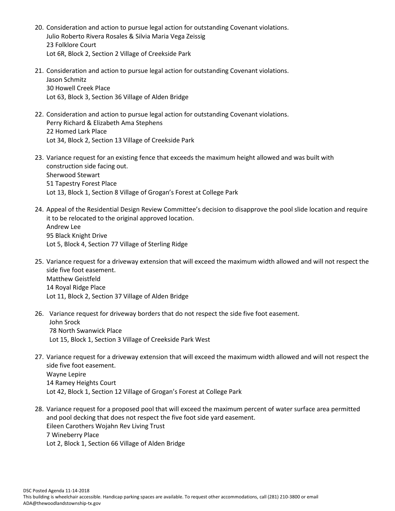- 20. Consideration and action to pursue legal action for outstanding Covenant violations. Julio Roberto Rivera Rosales & Silvia Maria Vega Zeissig 23 Folklore Court Lot 6R, Block 2, Section 2 Village of Creekside Park
- 21. Consideration and action to pursue legal action for outstanding Covenant violations. Jason Schmitz 30 Howell Creek Place Lot 63, Block 3, Section 36 Village of Alden Bridge
- 22. Consideration and action to pursue legal action for outstanding Covenant violations. Perry Richard & Elizabeth Ama Stephens 22 Homed Lark Place Lot 34, Block 2, Section 13 Village of Creekside Park
- 23. Variance request for an existing fence that exceeds the maximum height allowed and was built with construction side facing out. Sherwood Stewart 51 Tapestry Forest Place Lot 13, Block 1, Section 8 Village of Grogan's Forest at College Park
- 24. Appeal of the Residential Design Review Committee's decision to disapprove the pool slide location and require it to be relocated to the original approved location. Andrew Lee 95 Black Knight Drive Lot 5, Block 4, Section 77 Village of Sterling Ridge
- 25. Variance request for a driveway extension that will exceed the maximum width allowed and will not respect the side five foot easement. Matthew Geistfeld 14 Royal Ridge Place Lot 11, Block 2, Section 37 Village of Alden Bridge
- 26. Variance request for driveway borders that do not respect the side five foot easement. John Srock 78 North Swanwick Place Lot 15, Block 1, Section 3 Village of Creekside Park West
- 27. Variance request for a driveway extension that will exceed the maximum width allowed and will not respect the side five foot easement. Wayne Lepire 14 Ramey Heights Court Lot 42, Block 1, Section 12 Village of Grogan's Forest at College Park
- 28. Variance request for a proposed pool that will exceed the maximum percent of water surface area permitted and pool decking that does not respect the five foot side yard easement. Eileen Carothers Wojahn Rev Living Trust 7 Wineberry Place Lot 2, Block 1, Section 66 Village of Alden Bridge